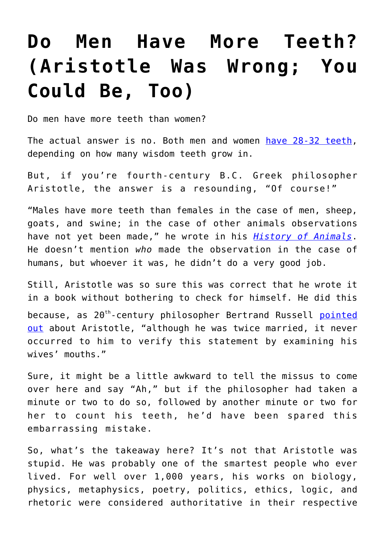## **[Do Men Have More Teeth?](https://intellectualtakeout.org/2021/04/do-men-have-more-teeth-aristotle-was-wrong-you-could-be-too/) [\(Aristotle Was Wrong; You](https://intellectualtakeout.org/2021/04/do-men-have-more-teeth-aristotle-was-wrong-you-could-be-too/) [Could Be, Too\)](https://intellectualtakeout.org/2021/04/do-men-have-more-teeth-aristotle-was-wrong-you-could-be-too/)**

Do men have more teeth than women?

The actual answer is no. Both men and women [have 28-32 teeth,](https://southairdriesmiles.ca/do-men-have-more-teeth-than-women/) depending on how many wisdom teeth grow in.

But, if you're fourth-century B.C. Greek philosopher Aristotle, the answer is a resounding, "Of course!"

"Males have more teeth than females in the case of men, sheep, goats, and swine; in the case of other animals observations have not yet been made," he wrote in his *[History of Animals](http://classics.mit.edu/Aristotle/history_anim.2.ii.html)*. He doesn't mention *who* made the observation in the case of humans, but whoever it was, he didn't do a very good job.

Still, Aristotle was so sure this was correct that he wrote it in a book without bothering to check for himself. He did this because, as  $20^{th}$ -century philosopher Bertrand Russell [pointed](https://www.quora.com/Why-did-Aristotle-think-that-women-had-fewer-teeth-than-men) [out](https://www.quora.com/Why-did-Aristotle-think-that-women-had-fewer-teeth-than-men) about Aristotle, "although he was twice married, it never occurred to him to verify this statement by examining his wives' mouths."

Sure, it might be a little awkward to tell the missus to come over here and say "Ah," but if the philosopher had taken a minute or two to do so, followed by another minute or two for her to count his teeth, he'd have been spared this embarrassing mistake.

So, what's the takeaway here? It's not that Aristotle was stupid. He was probably one of the smartest people who ever lived. For well over 1,000 years, his works on biology, physics, metaphysics, poetry, politics, ethics, logic, and rhetoric were considered authoritative in their respective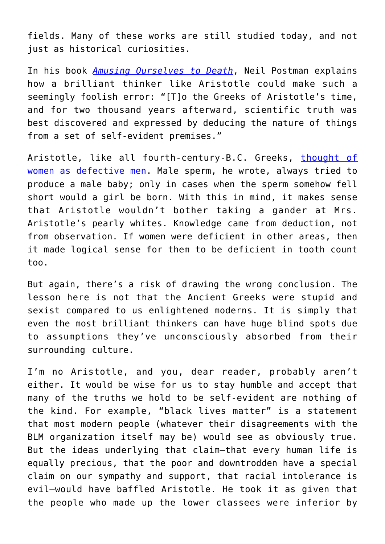fields. Many of these works are still studied today, and not just as historical curiosities.

In his book *[Amusing Ourselves to Death](https://www.amazon.com/Amusing-Ourselves-Death-Discourse-Business/dp/014303653X)*, Neil Postman explains how a brilliant thinker like Aristotle could make such a seemingly foolish error: "[T]o the Greeks of Aristotle's time, and for two thousand years afterward, scientific truth was best discovered and expressed by deducing the nature of things from a set of self-evident premises."

Aristotle, like all fourth-century-B.C. Greeks, [thought of](https://www.firstthings.com/article/1998/11/what-aquinas-never-said-about-women) [women as defective men](https://www.firstthings.com/article/1998/11/what-aquinas-never-said-about-women). Male sperm, he wrote, always tried to produce a male baby; only in cases when the sperm somehow fell short would a girl be born. With this in mind, it makes sense that Aristotle wouldn't bother taking a gander at Mrs. Aristotle's pearly whites. Knowledge came from deduction, not from observation. If women were deficient in other areas, then it made logical sense for them to be deficient in tooth count too.

But again, there's a risk of drawing the wrong conclusion. The lesson here is not that the Ancient Greeks were stupid and sexist compared to us enlightened moderns. It is simply that even the most brilliant thinkers can have huge blind spots due to assumptions they've unconsciously absorbed from their surrounding culture.

I'm no Aristotle, and you, dear reader, probably aren't either. It would be wise for us to stay humble and accept that many of the truths we hold to be self-evident are nothing of the kind. For example, "black lives matter" is a statement that most modern people (whatever their disagreements with the BLM organization itself may be) would see as obviously true. But the ideas underlying that claim—that every human life is equally precious, that the poor and downtrodden have a special claim on our sympathy and support, that racial intolerance is evil—would have baffled Aristotle. He took it as given that the people who made up the lower classees were inferior by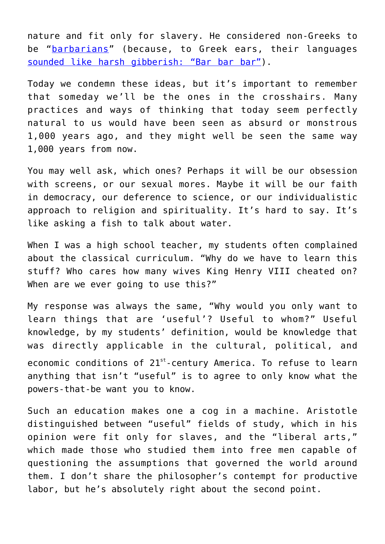nature and fit only for slavery. He considered non-Greeks to be "[barbarians](https://ceasefiremagazine.co.uk/in-theory-aristotle-2/#:~:text=Aristotle%20believes%20there%20are%20certain,their%20inability%20to%20exercise%20reason.&text=Non%2DGreeks%2C%20considered%20to%20be,should%20rule%20the%20)" (because, to Greek ears, their languages [sounded like harsh gibberish: "Bar bar bar"\)](https://www.history.com/news/where-did-the-word-barbarian-come-from#:~:text=The%20ancient%20Greek%20word%20%E2%80%9Cb%C3%A1rbaros,%E2%80%9Cbar%20bar%20bar%E2%80%9D).&text=It%20was%20the%20ancient%20Romans,the%20use%20of%20the%20term.).

Today we condemn these ideas, but it's important to remember that someday we'll be the ones in the crosshairs. Many practices and ways of thinking that today seem perfectly natural to us would have been seen as absurd or monstrous 1,000 years ago, and they might well be seen the same way 1,000 years from now.

You may well ask, which ones? Perhaps it will be our obsession with screens, or our sexual mores. Maybe it will be our faith in democracy, our deference to science, or our individualistic approach to religion and spirituality. It's hard to say. It's like asking a fish to talk about water.

When I was a high school teacher, my students often complained about the classical curriculum. "Why do we have to learn this stuff? Who cares how many wives King Henry VIII cheated on? When are we ever going to use this?"

My response was always the same, "Why would you only want to learn things that are 'useful'? Useful to whom?" Useful knowledge, by my students' definition, would be knowledge that was directly applicable in the cultural, political, and economic conditions of 21<sup>st</sup>-century America. To refuse to learn anything that isn't "useful" is to agree to only know what the powers-that-be want you to know.

Such an education makes one a cog in a machine. Aristotle distinguished between "useful" fields of study, which in his opinion were fit only for slaves, and the "liberal arts," which made those who studied them into free men capable of questioning the assumptions that governed the world around them. I don't share the philosopher's contempt for productive labor, but he's absolutely right about the second point.